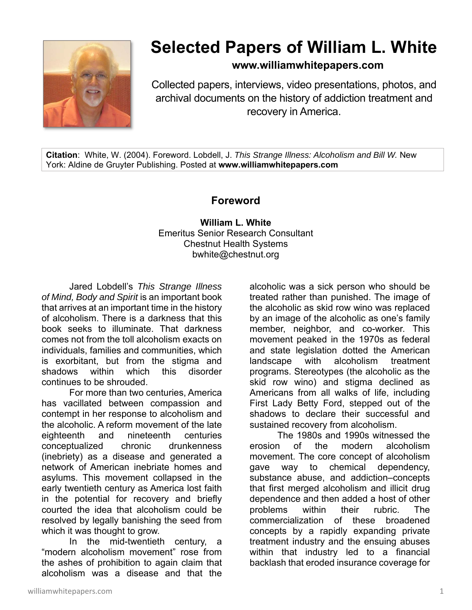

## **Selected Papers of William L. White**

**www.williamwhitepapers.com**

Collected papers, interviews, video presentations, photos, and archival documents on the history of addiction treatment and recovery in America.

**Citation**: White, W. (2004). Foreword. Lobdell, J. *This Strange Illness: Alcoholism and Bill W.* New York: Aldine de Gruyter Publishing. Posted at **www.williamwhitepapers.com** 

## **Foreword**

**William L. White**  Emeritus Senior Research Consultant Chestnut Health Systems bwhite@chestnut.org

Jared Lobdell's *This Strange Illness of Mind, Body and Spirit* is an important book that arrives at an important time in the history of alcoholism. There is a darkness that this book seeks to illuminate. That darkness comes not from the toll alcoholism exacts on individuals, families and communities, which is exorbitant, but from the stigma and shadows within which this disorder continues to be shrouded.

For more than two centuries, America has vacillated between compassion and contempt in her response to alcoholism and the alcoholic. A reform movement of the late eighteenth and nineteenth centuries conceptualized chronic drunkenness (inebriety) as a disease and generated a network of American inebriate homes and asylums. This movement collapsed in the early twentieth century as America lost faith in the potential for recovery and briefly courted the idea that alcoholism could be resolved by legally banishing the seed from which it was thought to grow.

In the mid-twentieth century, a "modern alcoholism movement" rose from the ashes of prohibition to again claim that alcoholism was a disease and that the

alcoholic was a sick person who should be treated rather than punished. The image of the alcoholic as skid row wino was replaced by an image of the alcoholic as one's family member, neighbor, and co-worker. This movement peaked in the 1970s as federal and state legislation dotted the American landscape with alcoholism treatment programs. Stereotypes (the alcoholic as the skid row wino) and stigma declined as Americans from all walks of life, including First Lady Betty Ford, stepped out of the shadows to declare their successful and sustained recovery from alcoholism.

The 1980s and 1990s witnessed the erosion of the modern alcoholism movement. The core concept of alcoholism gave way to chemical dependency, substance abuse, and addiction–concepts that first merged alcoholism and illicit drug dependence and then added a host of other problems within their rubric. The commercialization of these broadened concepts by a rapidly expanding private treatment industry and the ensuing abuses within that industry led to a financial backlash that eroded insurance coverage for